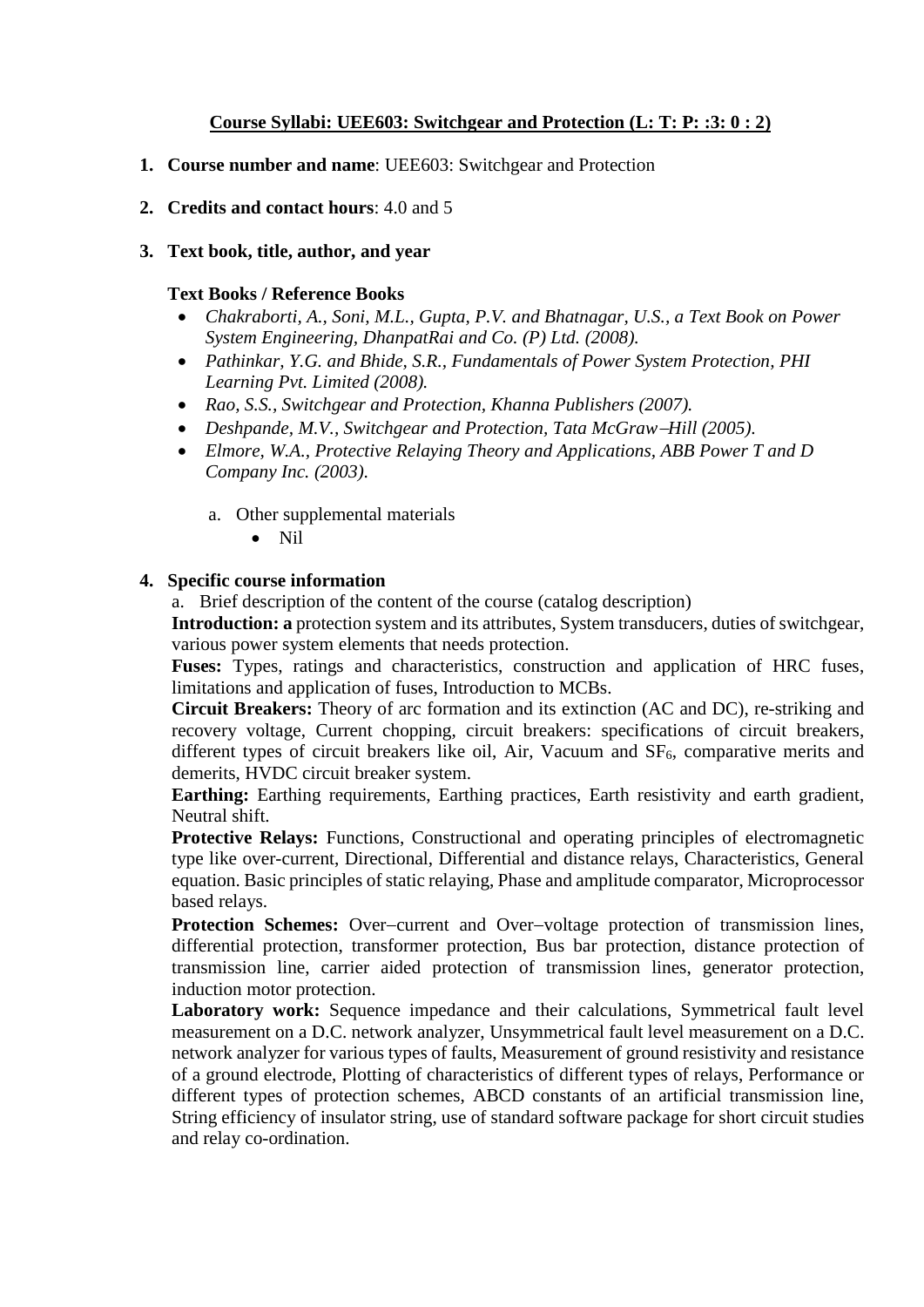# **Course Syllabi: UEE603: Switchgear and Protection (L: T: P: :3: 0 : 2)**

- **1. Course number and name**: UEE603: Switchgear and Protection
- **2. Credits and contact hours**: 4.0 and 5
- **3. Text book, title, author, and year**

#### **Text Books / Reference Books**

- *Chakraborti, A., Soni, M.L., Gupta, P.V. and Bhatnagar, U.S., a Text Book on Power System Engineering, DhanpatRai and Co. (P) Ltd. (2008).*
- *Pathinkar, Y.G. and Bhide, S.R., Fundamentals of Power System Protection, PHI Learning Pvt. Limited (2008).*
- *Rao, S.S., Switchgear and Protection, Khanna Publishers (2007).*
- *Deshpande, M.V., Switchgear and Protection, Tata McGrawHill (2005).*
- *Elmore, W.A., Protective Relaying Theory and Applications, ABB Power T and D Company Inc. (2003).*
	- a. Other supplemental materials
		- Nil

### **4. Specific course information**

a. Brief description of the content of the course (catalog description)

**Introduction: a** protection system and its attributes, System transducers, duties of switchgear, various power system elements that needs protection.

**Fuses:** Types, ratings and characteristics, construction and application of HRC fuses, limitations and application of fuses, Introduction to MCBs.

**Circuit Breakers:** Theory of arc formation and its extinction (AC and DC), re-striking and recovery voltage, Current chopping, circuit breakers: specifications of circuit breakers, different types of circuit breakers like oil, Air, Vacuum and  $SF<sub>6</sub>$ , comparative merits and demerits, HVDC circuit breaker system.

**Earthing:** Earthing requirements, Earthing practices, Earth resistivity and earth gradient, Neutral shift.

Protective Relays: Functions, Constructional and operating principles of electromagnetic type like over-current, Directional, Differential and distance relays, Characteristics, General equation. Basic principles of static relaying, Phase and amplitude comparator, Microprocessor based relays.

**Protection Schemes:** Over-current and Over-voltage protection of transmission lines, differential protection, transformer protection, Bus bar protection, distance protection of transmission line, carrier aided protection of transmission lines, generator protection, induction motor protection.

Laboratory work: Sequence impedance and their calculations, Symmetrical fault level measurement on a D.C. network analyzer, Unsymmetrical fault level measurement on a D.C. network analyzer for various types of faults, Measurement of ground resistivity and resistance of a ground electrode, Plotting of characteristics of different types of relays, Performance or different types of protection schemes, ABCD constants of an artificial transmission line, String efficiency of insulator string, use of standard software package for short circuit studies and relay co-ordination.